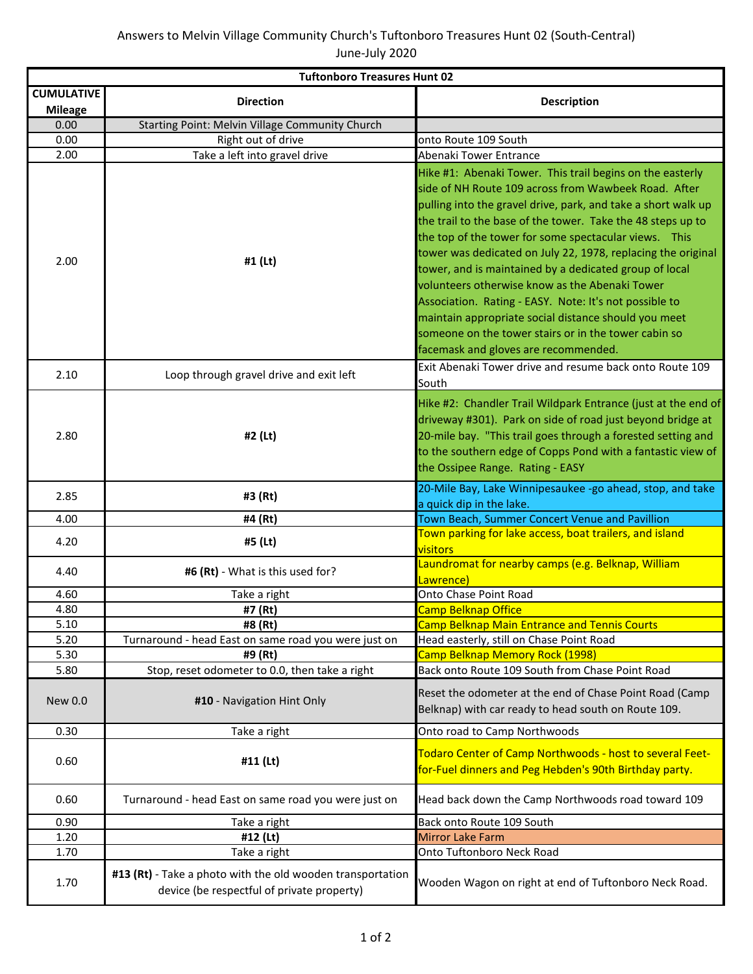| <b>Tuftonboro Treasures Hunt 02</b> |                                                                                                          |                                                                                                                                                                                                                                                                                                                                                                                                                                                                                                                                                                                                                                                                                                          |
|-------------------------------------|----------------------------------------------------------------------------------------------------------|----------------------------------------------------------------------------------------------------------------------------------------------------------------------------------------------------------------------------------------------------------------------------------------------------------------------------------------------------------------------------------------------------------------------------------------------------------------------------------------------------------------------------------------------------------------------------------------------------------------------------------------------------------------------------------------------------------|
| <b>CUMULATIVE</b><br><b>Mileage</b> | <b>Direction</b>                                                                                         | <b>Description</b>                                                                                                                                                                                                                                                                                                                                                                                                                                                                                                                                                                                                                                                                                       |
| 0.00                                | Starting Point: Melvin Village Community Church                                                          |                                                                                                                                                                                                                                                                                                                                                                                                                                                                                                                                                                                                                                                                                                          |
| 0.00                                | Right out of drive                                                                                       | onto Route 109 South                                                                                                                                                                                                                                                                                                                                                                                                                                                                                                                                                                                                                                                                                     |
| 2.00                                | Take a left into gravel drive                                                                            | Abenaki Tower Entrance                                                                                                                                                                                                                                                                                                                                                                                                                                                                                                                                                                                                                                                                                   |
| 2.00                                | #1 (Lt)                                                                                                  | Hike #1: Abenaki Tower. This trail begins on the easterly<br>side of NH Route 109 across from Wawbeek Road. After<br>pulling into the gravel drive, park, and take a short walk up<br>the trail to the base of the tower. Take the 48 steps up to<br>the top of the tower for some spectacular views. This<br>tower was dedicated on July 22, 1978, replacing the original<br>tower, and is maintained by a dedicated group of local<br>volunteers otherwise know as the Abenaki Tower<br>Association. Rating - EASY. Note: It's not possible to<br>maintain appropriate social distance should you meet<br>someone on the tower stairs or in the tower cabin so<br>facemask and gloves are recommended. |
| 2.10                                | Loop through gravel drive and exit left                                                                  | Exit Abenaki Tower drive and resume back onto Route 109<br>South                                                                                                                                                                                                                                                                                                                                                                                                                                                                                                                                                                                                                                         |
| 2.80                                | #2 (Lt)                                                                                                  | Hike #2: Chandler Trail Wildpark Entrance (just at the end of<br>driveway #301). Park on side of road just beyond bridge at<br>20-mile bay. "This trail goes through a forested setting and<br>to the southern edge of Copps Pond with a fantastic view of<br>the Ossipee Range. Rating - EASY                                                                                                                                                                                                                                                                                                                                                                                                           |
| 2.85                                | #3 (Rt)                                                                                                  | 20-Mile Bay, Lake Winnipesaukee -go ahead, stop, and take<br>a quick dip in the lake.                                                                                                                                                                                                                                                                                                                                                                                                                                                                                                                                                                                                                    |
| 4.00                                | #4 (Rt)                                                                                                  | Town Beach, Summer Concert Venue and Pavillion                                                                                                                                                                                                                                                                                                                                                                                                                                                                                                                                                                                                                                                           |
| 4.20                                | #5 (Lt)                                                                                                  | Town parking for lake access, boat trailers, and island<br>visitors                                                                                                                                                                                                                                                                                                                                                                                                                                                                                                                                                                                                                                      |
| 4.40                                | #6 (Rt) - What is this used for?                                                                         | Laundromat for nearby camps (e.g. Belknap, William<br>Lawrence)                                                                                                                                                                                                                                                                                                                                                                                                                                                                                                                                                                                                                                          |
| 4.60                                | Take a right                                                                                             | Onto Chase Point Road                                                                                                                                                                                                                                                                                                                                                                                                                                                                                                                                                                                                                                                                                    |
| 4.80                                | #7 (Rt)                                                                                                  | <b>Camp Belknap Office</b>                                                                                                                                                                                                                                                                                                                                                                                                                                                                                                                                                                                                                                                                               |
| 5.10                                | #8 (Rt)                                                                                                  | <b>Camp Belknap Main Entrance and Tennis Courts</b>                                                                                                                                                                                                                                                                                                                                                                                                                                                                                                                                                                                                                                                      |
| 5.20                                | Turnaround - head East on same road you were just on                                                     | Head easterly, still on Chase Point Road                                                                                                                                                                                                                                                                                                                                                                                                                                                                                                                                                                                                                                                                 |
| 5.30                                | #9 (Rt)                                                                                                  | Camp Belknap Memory Rock (1998)                                                                                                                                                                                                                                                                                                                                                                                                                                                                                                                                                                                                                                                                          |
| 5.80                                | Stop, reset odometer to 0.0, then take a right                                                           | Back onto Route 109 South from Chase Point Road                                                                                                                                                                                                                                                                                                                                                                                                                                                                                                                                                                                                                                                          |
| New 0.0                             | #10 - Navigation Hint Only                                                                               | Reset the odometer at the end of Chase Point Road (Camp<br>Belknap) with car ready to head south on Route 109.                                                                                                                                                                                                                                                                                                                                                                                                                                                                                                                                                                                           |
| 0.30                                | Take a right                                                                                             | Onto road to Camp Northwoods                                                                                                                                                                                                                                                                                                                                                                                                                                                                                                                                                                                                                                                                             |
| 0.60                                | #11 (Lt)                                                                                                 | Todaro Center of Camp Northwoods - host to several Feet-<br>for-Fuel dinners and Peg Hebden's 90th Birthday party.                                                                                                                                                                                                                                                                                                                                                                                                                                                                                                                                                                                       |
| 0.60                                | Turnaround - head East on same road you were just on                                                     | Head back down the Camp Northwoods road toward 109                                                                                                                                                                                                                                                                                                                                                                                                                                                                                                                                                                                                                                                       |
| 0.90                                | Take a right                                                                                             | Back onto Route 109 South                                                                                                                                                                                                                                                                                                                                                                                                                                                                                                                                                                                                                                                                                |
| 1.20                                | #12 (Lt)                                                                                                 | <b>Mirror Lake Farm</b>                                                                                                                                                                                                                                                                                                                                                                                                                                                                                                                                                                                                                                                                                  |
| 1.70                                | Take a right                                                                                             | Onto Tuftonboro Neck Road                                                                                                                                                                                                                                                                                                                                                                                                                                                                                                                                                                                                                                                                                |
| 1.70                                | #13 (Rt) - Take a photo with the old wooden transportation<br>device (be respectful of private property) | Wooden Wagon on right at end of Tuftonboro Neck Road.                                                                                                                                                                                                                                                                                                                                                                                                                                                                                                                                                                                                                                                    |